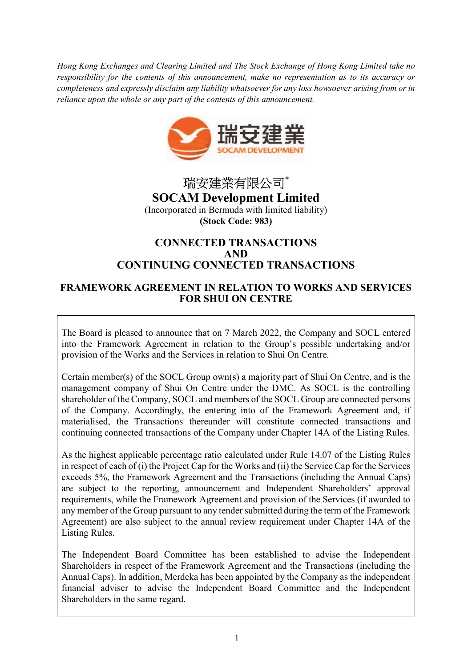Hong Kong Exchanges and Clearing Limited and The Stock Exchange of Hong Kong Limited take no responsibility for the contents of this announcement, make no representation as to its accuracy or completeness and expressly disclaim any liability whatsoever for any loss howsoever arising from or in reliance upon the whole or any part of the contents of this announcement.



瑞安建業有限公司\* SOCAM Development Limited (Incorporated in Bermuda with limited liability) (Stock Code: 983)

# CONNECTED TRANSACTIONS AND CONTINUING CONNECTED TRANSACTIONS

# FRAMEWORK AGREEMENT IN RELATION TO WORKS AND SERVICES FOR SHUI ON CENTRE

The Board is pleased to announce that on 7 March 2022, the Company and SOCL entered into the Framework Agreement in relation to the Group's possible undertaking and/or provision of the Works and the Services in relation to Shui On Centre.

Certain member(s) of the SOCL Group own(s) a majority part of Shui On Centre, and is the management company of Shui On Centre under the DMC. As SOCL is the controlling shareholder of the Company, SOCL and members of the SOCL Group are connected persons of the Company. Accordingly, the entering into of the Framework Agreement and, if materialised, the Transactions thereunder will constitute connected transactions and continuing connected transactions of the Company under Chapter 14A of the Listing Rules.

As the highest applicable percentage ratio calculated under Rule 14.07 of the Listing Rules in respect of each of (i) the Project Cap for the Works and (ii) the Service Cap for the Services exceeds 5%, the Framework Agreement and the Transactions (including the Annual Caps) are subject to the reporting, announcement and Independent Shareholders' approval requirements, while the Framework Agreement and provision of the Services (if awarded to any member of the Group pursuant to any tender submitted during the term of the Framework Agreement) are also subject to the annual review requirement under Chapter 14A of the Listing Rules.

The Independent Board Committee has been established to advise the Independent Shareholders in respect of the Framework Agreement and the Transactions (including the Annual Caps). In addition, Merdeka has been appointed by the Company as the independent financial adviser to advise the Independent Board Committee and the Independent Shareholders in the same regard.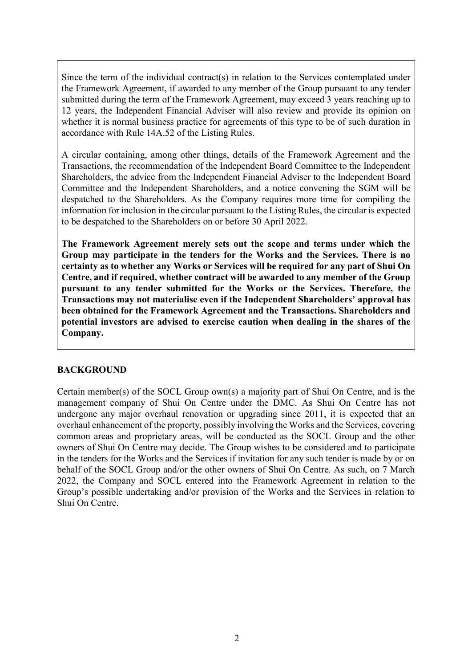Since the term of the individual contract(s) in relation to the Services contemplated under the Framework Agreement, if awarded to any member of the Group pursuant to any tender submitted during the term of the Framework Agreement, may exceed 3 years reaching up to 12 years, the Independent Financial Adviser will also review and provide its opinion on whether it is normal business practice for agreements of this type to be of such duration in accordance with Rule 14A.52 of the Listing Rules.

A circular containing, among other things, details of the Framework Agreement and the Transactions, the recommendation of the Independent Board Committee to the Independent Shareholders, the advice from the Independent Financial Adviser to the Independent Board Committee and the Independent Shareholders, and a notice convening the SGM will be despatched to the Shareholders. As the Company requires more time for compiling the information for inclusion in the circular pursuant to the Listing Rules, the circular is expected to be despatched to the Shareholders on or before 30 April 2022.

The Framework Agreement merely sets out the scope and terms under which the Group may participate in the tenders for the Works and the Services. There is no certainty as to whether any Works or Services will be required for any part of Shui On Centre, and if required, whether contract will be awarded to any member of the Group pursuant to any tender submitted for the Works or the Services. Therefore, the Transactions may not materialise even if the Independent Shareholders' approval has been obtained for the Framework Agreement and the Transactions. Shareholders and potential investors are advised to exercise caution when dealing in the shares of the Company.

## BACKGROUND

Certain member(s) of the SOCL Group own(s) a majority part of Shui On Centre, and is the management company of Shui On Centre under the DMC. As Shui On Centre has not undergone any major overhaul renovation or upgrading since 2011, it is expected that an overhaul enhancement of the property, possibly involving the Works and the Services, covering common areas and proprietary areas, will be conducted as the SOCL Group and the other owners of Shui On Centre may decide. The Group wishes to be considered and to participate in the tenders for the Works and the Services if invitation for any such tender is made by or on behalf of the SOCL Group and/or the other owners of Shui On Centre. As such, on 7 March 2022, the Company and SOCL entered into the Framework Agreement in relation to the Group's possible undertaking and/or provision of the Works and the Services in relation to Shui On Centre.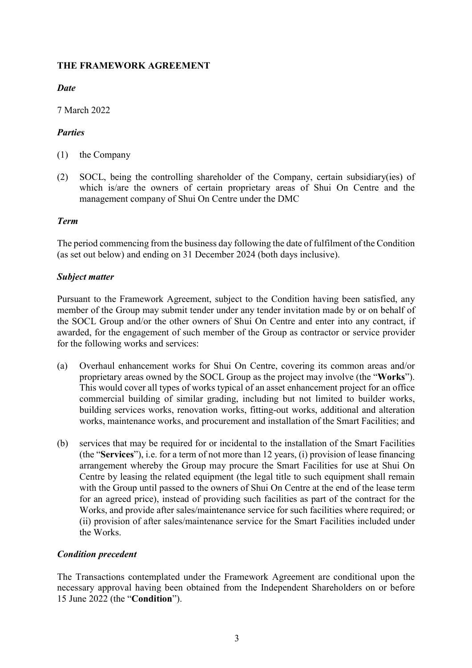## THE FRAMEWORK AGREEMENT

# **Date**

7 March 2022

# **Parties**

- (1) the Company
- (2) SOCL, being the controlling shareholder of the Company, certain subsidiary(ies) of which is/are the owners of certain proprietary areas of Shui On Centre and the management company of Shui On Centre under the DMC

# Term

The period commencing from the business day following the date of fulfilment of the Condition (as set out below) and ending on 31 December 2024 (both days inclusive).

## Subject matter

Pursuant to the Framework Agreement, subject to the Condition having been satisfied, any member of the Group may submit tender under any tender invitation made by or on behalf of the SOCL Group and/or the other owners of Shui On Centre and enter into any contract, if awarded, for the engagement of such member of the Group as contractor or service provider for the following works and services:

- (a) Overhaul enhancement works for Shui On Centre, covering its common areas and/or proprietary areas owned by the SOCL Group as the project may involve (the "Works"). This would cover all types of works typical of an asset enhancement project for an office commercial building of similar grading, including but not limited to builder works, building services works, renovation works, fitting-out works, additional and alteration works, maintenance works, and procurement and installation of the Smart Facilities; and
- (b) services that may be required for or incidental to the installation of the Smart Facilities (the "Services"), i.e. for a term of not more than 12 years, (i) provision of lease financing arrangement whereby the Group may procure the Smart Facilities for use at Shui On Centre by leasing the related equipment (the legal title to such equipment shall remain with the Group until passed to the owners of Shui On Centre at the end of the lease term for an agreed price), instead of providing such facilities as part of the contract for the Works, and provide after sales/maintenance service for such facilities where required; or (ii) provision of after sales/maintenance service for the Smart Facilities included under the Works.

# Condition precedent

The Transactions contemplated under the Framework Agreement are conditional upon the necessary approval having been obtained from the Independent Shareholders on or before 15 June 2022 (the "Condition").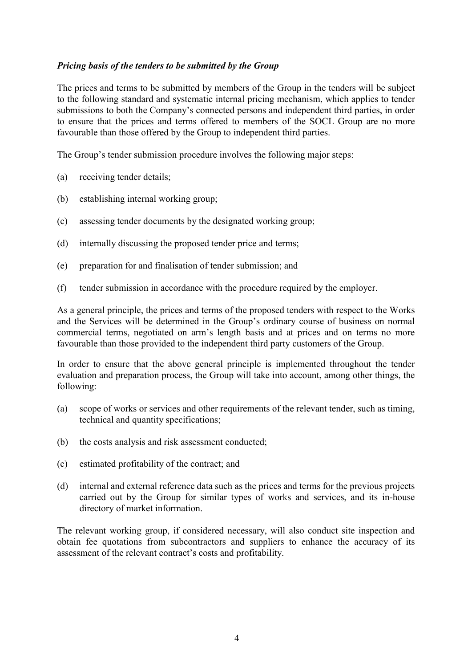### Pricing basis of the tenders to be submitted by the Group

The prices and terms to be submitted by members of the Group in the tenders will be subject to the following standard and systematic internal pricing mechanism, which applies to tender submissions to both the Company's connected persons and independent third parties, in order to ensure that the prices and terms offered to members of the SOCL Group are no more favourable than those offered by the Group to independent third parties.

The Group's tender submission procedure involves the following major steps:

- (a) receiving tender details;
- (b) establishing internal working group;
- (c) assessing tender documents by the designated working group;
- (d) internally discussing the proposed tender price and terms;
- (e) preparation for and finalisation of tender submission; and
- (f) tender submission in accordance with the procedure required by the employer.

As a general principle, the prices and terms of the proposed tenders with respect to the Works and the Services will be determined in the Group's ordinary course of business on normal commercial terms, negotiated on arm's length basis and at prices and on terms no more favourable than those provided to the independent third party customers of the Group.

In order to ensure that the above general principle is implemented throughout the tender evaluation and preparation process, the Group will take into account, among other things, the following:

- (a) scope of works or services and other requirements of the relevant tender, such as timing, technical and quantity specifications;
- (b) the costs analysis and risk assessment conducted;
- (c) estimated profitability of the contract; and
- (d) internal and external reference data such as the prices and terms for the previous projects carried out by the Group for similar types of works and services, and its in-house directory of market information.

The relevant working group, if considered necessary, will also conduct site inspection and obtain fee quotations from subcontractors and suppliers to enhance the accuracy of its assessment of the relevant contract's costs and profitability.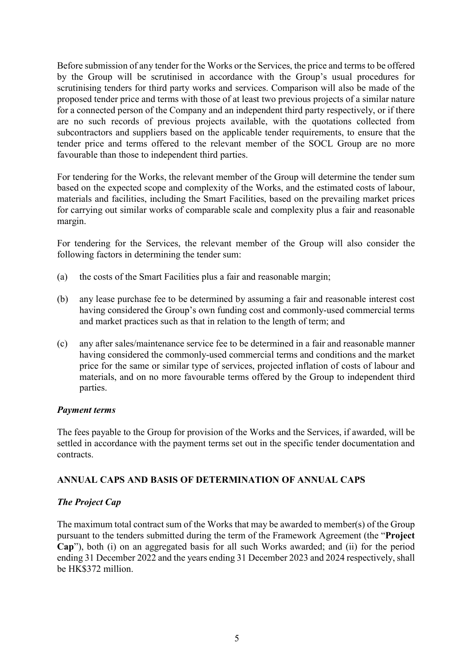Before submission of any tender for the Works or the Services, the price and terms to be offered by the Group will be scrutinised in accordance with the Group's usual procedures for scrutinising tenders for third party works and services. Comparison will also be made of the proposed tender price and terms with those of at least two previous projects of a similar nature for a connected person of the Company and an independent third party respectively, or if there are no such records of previous projects available, with the quotations collected from subcontractors and suppliers based on the applicable tender requirements, to ensure that the tender price and terms offered to the relevant member of the SOCL Group are no more favourable than those to independent third parties.

For tendering for the Works, the relevant member of the Group will determine the tender sum based on the expected scope and complexity of the Works, and the estimated costs of labour, materials and facilities, including the Smart Facilities, based on the prevailing market prices for carrying out similar works of comparable scale and complexity plus a fair and reasonable margin.

For tendering for the Services, the relevant member of the Group will also consider the following factors in determining the tender sum:

- (a) the costs of the Smart Facilities plus a fair and reasonable margin;
- (b) any lease purchase fee to be determined by assuming a fair and reasonable interest cost having considered the Group's own funding cost and commonly-used commercial terms and market practices such as that in relation to the length of term; and
- (c) any after sales/maintenance service fee to be determined in a fair and reasonable manner having considered the commonly-used commercial terms and conditions and the market price for the same or similar type of services, projected inflation of costs of labour and materials, and on no more favourable terms offered by the Group to independent third parties.

#### Payment terms

The fees payable to the Group for provision of the Works and the Services, if awarded, will be settled in accordance with the payment terms set out in the specific tender documentation and contracts.

## ANNUAL CAPS AND BASIS OF DETERMINATION OF ANNUAL CAPS

## The Project Cap

The maximum total contract sum of the Works that may be awarded to member(s) of the Group pursuant to the tenders submitted during the term of the Framework Agreement (the "Project Cap"), both (i) on an aggregated basis for all such Works awarded; and (ii) for the period ending 31 December 2022 and the years ending 31 December 2023 and 2024 respectively, shall be HK\$372 million.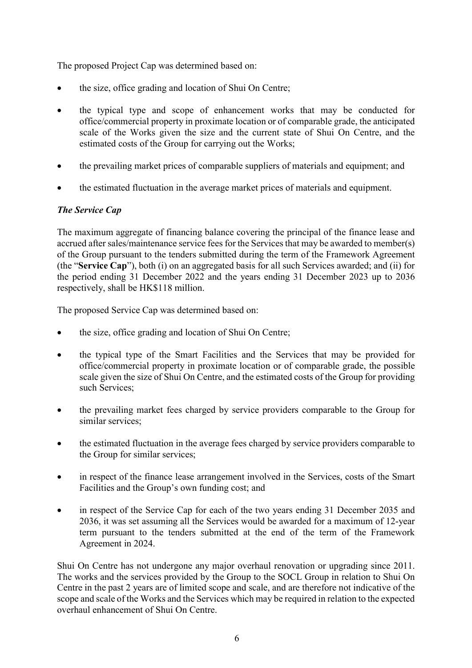The proposed Project Cap was determined based on:

- the size, office grading and location of Shui On Centre;
- the typical type and scope of enhancement works that may be conducted for office/commercial property in proximate location or of comparable grade, the anticipated scale of the Works given the size and the current state of Shui On Centre, and the estimated costs of the Group for carrying out the Works;
- the prevailing market prices of comparable suppliers of materials and equipment; and
- the estimated fluctuation in the average market prices of materials and equipment.

# The Service Cap

The maximum aggregate of financing balance covering the principal of the finance lease and accrued after sales/maintenance service fees for the Services that may be awarded to member(s) of the Group pursuant to the tenders submitted during the term of the Framework Agreement (the "Service Cap"), both (i) on an aggregated basis for all such Services awarded; and (ii) for the period ending 31 December 2022 and the years ending 31 December 2023 up to 2036 respectively, shall be HK\$118 million.

The proposed Service Cap was determined based on:

- the size, office grading and location of Shui On Centre;
- the typical type of the Smart Facilities and the Services that may be provided for office/commercial property in proximate location or of comparable grade, the possible scale given the size of Shui On Centre, and the estimated costs of the Group for providing such Services;
- the prevailing market fees charged by service providers comparable to the Group for similar services;
- the estimated fluctuation in the average fees charged by service providers comparable to the Group for similar services;
- in respect of the finance lease arrangement involved in the Services, costs of the Smart Facilities and the Group's own funding cost; and
- in respect of the Service Cap for each of the two years ending 31 December 2035 and 2036, it was set assuming all the Services would be awarded for a maximum of 12-year term pursuant to the tenders submitted at the end of the term of the Framework Agreement in 2024.

Shui On Centre has not undergone any major overhaul renovation or upgrading since 2011. The works and the services provided by the Group to the SOCL Group in relation to Shui On Centre in the past 2 years are of limited scope and scale, and are therefore not indicative of the scope and scale of the Works and the Services which may be required in relation to the expected overhaul enhancement of Shui On Centre.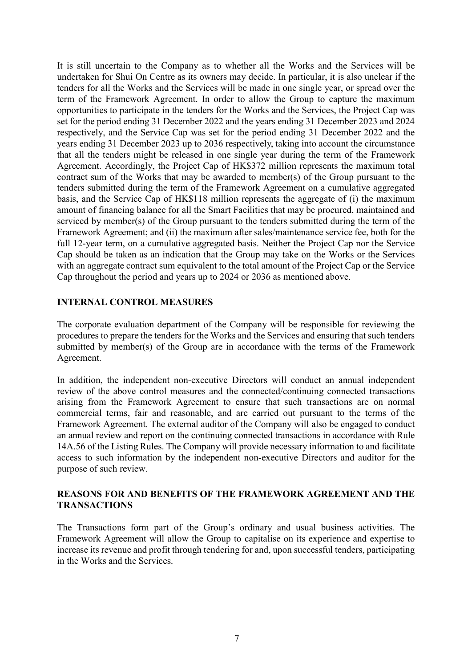It is still uncertain to the Company as to whether all the Works and the Services will be undertaken for Shui On Centre as its owners may decide. In particular, it is also unclear if the tenders for all the Works and the Services will be made in one single year, or spread over the term of the Framework Agreement. In order to allow the Group to capture the maximum opportunities to participate in the tenders for the Works and the Services, the Project Cap was set for the period ending 31 December 2022 and the years ending 31 December 2023 and 2024 respectively, and the Service Cap was set for the period ending 31 December 2022 and the years ending 31 December 2023 up to 2036 respectively, taking into account the circumstance that all the tenders might be released in one single year during the term of the Framework Agreement. Accordingly, the Project Cap of HK\$372 million represents the maximum total contract sum of the Works that may be awarded to member(s) of the Group pursuant to the tenders submitted during the term of the Framework Agreement on a cumulative aggregated basis, and the Service Cap of HK\$118 million represents the aggregate of (i) the maximum amount of financing balance for all the Smart Facilities that may be procured, maintained and serviced by member(s) of the Group pursuant to the tenders submitted during the term of the Framework Agreement; and (ii) the maximum after sales/maintenance service fee, both for the full 12-year term, on a cumulative aggregated basis. Neither the Project Cap nor the Service Cap should be taken as an indication that the Group may take on the Works or the Services with an aggregate contract sum equivalent to the total amount of the Project Cap or the Service Cap throughout the period and years up to 2024 or 2036 as mentioned above.

## INTERNAL CONTROL MEASURES

The corporate evaluation department of the Company will be responsible for reviewing the procedures to prepare the tenders for the Works and the Services and ensuring that such tenders submitted by member(s) of the Group are in accordance with the terms of the Framework Agreement.

In addition, the independent non-executive Directors will conduct an annual independent review of the above control measures and the connected/continuing connected transactions arising from the Framework Agreement to ensure that such transactions are on normal commercial terms, fair and reasonable, and are carried out pursuant to the terms of the Framework Agreement. The external auditor of the Company will also be engaged to conduct an annual review and report on the continuing connected transactions in accordance with Rule 14A.56 of the Listing Rules. The Company will provide necessary information to and facilitate access to such information by the independent non-executive Directors and auditor for the purpose of such review.

### REASONS FOR AND BENEFITS OF THE FRAMEWORK AGREEMENT AND THE TRANSACTIONS

The Transactions form part of the Group's ordinary and usual business activities. The Framework Agreement will allow the Group to capitalise on its experience and expertise to increase its revenue and profit through tendering for and, upon successful tenders, participating in the Works and the Services.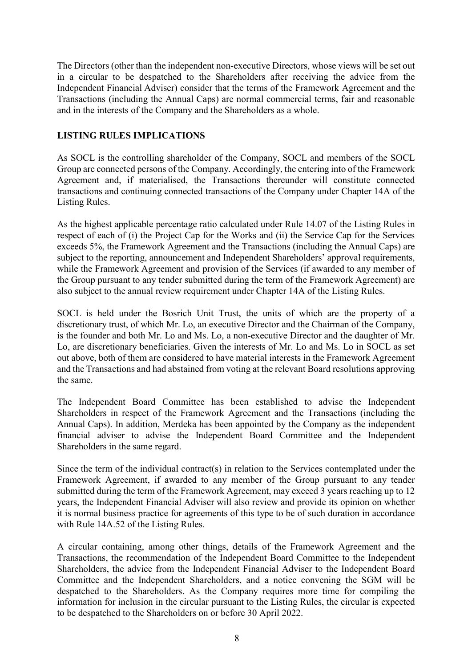The Directors (other than the independent non-executive Directors, whose views will be set out in a circular to be despatched to the Shareholders after receiving the advice from the Independent Financial Adviser) consider that the terms of the Framework Agreement and the Transactions (including the Annual Caps) are normal commercial terms, fair and reasonable and in the interests of the Company and the Shareholders as a whole.

### LISTING RULES IMPLICATIONS

As SOCL is the controlling shareholder of the Company, SOCL and members of the SOCL Group are connected persons of the Company. Accordingly, the entering into of the Framework Agreement and, if materialised, the Transactions thereunder will constitute connected transactions and continuing connected transactions of the Company under Chapter 14A of the Listing Rules.

As the highest applicable percentage ratio calculated under Rule 14.07 of the Listing Rules in respect of each of (i) the Project Cap for the Works and (ii) the Service Cap for the Services exceeds 5%, the Framework Agreement and the Transactions (including the Annual Caps) are subject to the reporting, announcement and Independent Shareholders' approval requirements, while the Framework Agreement and provision of the Services (if awarded to any member of the Group pursuant to any tender submitted during the term of the Framework Agreement) are also subject to the annual review requirement under Chapter 14A of the Listing Rules.

SOCL is held under the Bosrich Unit Trust, the units of which are the property of a discretionary trust, of which Mr. Lo, an executive Director and the Chairman of the Company, is the founder and both Mr. Lo and Ms. Lo, a non-executive Director and the daughter of Mr. Lo, are discretionary beneficiaries. Given the interests of Mr. Lo and Ms. Lo in SOCL as set out above, both of them are considered to have material interests in the Framework Agreement and the Transactions and had abstained from voting at the relevant Board resolutions approving the same.

The Independent Board Committee has been established to advise the Independent Shareholders in respect of the Framework Agreement and the Transactions (including the Annual Caps). In addition, Merdeka has been appointed by the Company as the independent financial adviser to advise the Independent Board Committee and the Independent Shareholders in the same regard.

Since the term of the individual contract(s) in relation to the Services contemplated under the Framework Agreement, if awarded to any member of the Group pursuant to any tender submitted during the term of the Framework Agreement, may exceed 3 years reaching up to 12 years, the Independent Financial Adviser will also review and provide its opinion on whether it is normal business practice for agreements of this type to be of such duration in accordance with Rule 14A.52 of the Listing Rules.

A circular containing, among other things, details of the Framework Agreement and the Transactions, the recommendation of the Independent Board Committee to the Independent Shareholders, the advice from the Independent Financial Adviser to the Independent Board Committee and the Independent Shareholders, and a notice convening the SGM will be despatched to the Shareholders. As the Company requires more time for compiling the information for inclusion in the circular pursuant to the Listing Rules, the circular is expected to be despatched to the Shareholders on or before 30 April 2022.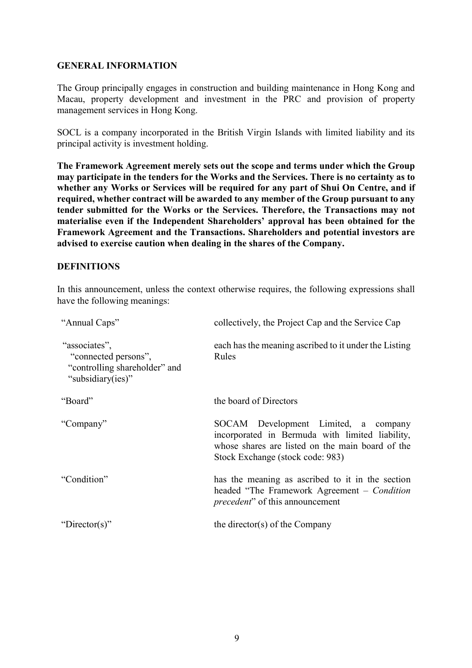#### GENERAL INFORMATION

The Group principally engages in construction and building maintenance in Hong Kong and Macau, property development and investment in the PRC and provision of property management services in Hong Kong.

SOCL is a company incorporated in the British Virgin Islands with limited liability and its principal activity is investment holding.

The Framework Agreement merely sets out the scope and terms under which the Group may participate in the tenders for the Works and the Services. There is no certainty as to whether any Works or Services will be required for any part of Shui On Centre, and if required, whether contract will be awarded to any member of the Group pursuant to any tender submitted for the Works or the Services. Therefore, the Transactions may not materialise even if the Independent Shareholders' approval has been obtained for the Framework Agreement and the Transactions. Shareholders and potential investors are advised to exercise caution when dealing in the shares of the Company.

## **DEFINITIONS**

In this announcement, unless the context otherwise requires, the following expressions shall have the following meanings:

| "Annual Caps"                                                                               | collectively, the Project Cap and the Service Cap                                                                                                                               |
|---------------------------------------------------------------------------------------------|---------------------------------------------------------------------------------------------------------------------------------------------------------------------------------|
| "associates",<br>"connected persons",<br>"controlling shareholder" and<br>"subsidiary(ies)" | each has the meaning ascribed to it under the Listing<br>Rules                                                                                                                  |
| "Board"                                                                                     | the board of Directors                                                                                                                                                          |
| "Company"                                                                                   | SOCAM Development Limited, a company<br>incorporated in Bermuda with limited liability,<br>whose shares are listed on the main board of the<br>Stock Exchange (stock code: 983) |
| "Condition"                                                                                 | has the meaning as ascribed to it in the section<br>headed "The Framework Agreement – Condition<br><i>precedent</i> " of this announcement                                      |
| "Director(s)"                                                                               | the director(s) of the Company                                                                                                                                                  |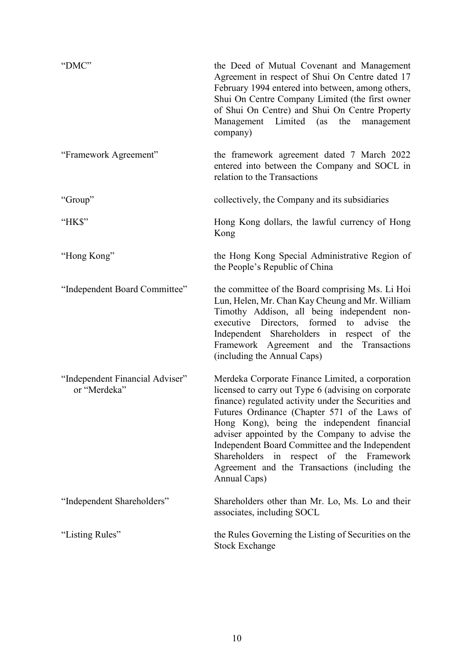| "DMC"                                           | the Deed of Mutual Covenant and Management<br>Agreement in respect of Shui On Centre dated 17<br>February 1994 entered into between, among others,<br>Shui On Centre Company Limited (the first owner<br>of Shui On Centre) and Shui On Centre Property<br>Management Limited (as the<br>management<br>company)                                                                                                                                                                   |
|-------------------------------------------------|-----------------------------------------------------------------------------------------------------------------------------------------------------------------------------------------------------------------------------------------------------------------------------------------------------------------------------------------------------------------------------------------------------------------------------------------------------------------------------------|
| "Framework Agreement"                           | the framework agreement dated 7 March 2022<br>entered into between the Company and SOCL in<br>relation to the Transactions                                                                                                                                                                                                                                                                                                                                                        |
| "Group"                                         | collectively, the Company and its subsidiaries                                                                                                                                                                                                                                                                                                                                                                                                                                    |
| "HK\$"                                          | Hong Kong dollars, the lawful currency of Hong<br>Kong                                                                                                                                                                                                                                                                                                                                                                                                                            |
| "Hong Kong"                                     | the Hong Kong Special Administrative Region of<br>the People's Republic of China                                                                                                                                                                                                                                                                                                                                                                                                  |
| "Independent Board Committee"                   | the committee of the Board comprising Ms. Li Hoi<br>Lun, Helen, Mr. Chan Kay Cheung and Mr. William<br>Timothy Addison, all being independent non-<br>executive Directors, formed to<br>advise<br>the<br>Independent Shareholders in respect of the<br>Framework Agreement and the Transactions<br>(including the Annual Caps)                                                                                                                                                    |
| "Independent Financial Adviser"<br>or "Merdeka" | Merdeka Corporate Finance Limited, a corporation<br>licensed to carry out Type 6 (advising on corporate<br>finance) regulated activity under the Securities and<br>Futures Ordinance (Chapter 571 of the Laws of<br>Hong Kong), being the independent financial<br>adviser appointed by the Company to advise the<br>Independent Board Committee and the Independent<br>Shareholders in respect of the Framework<br>Agreement and the Transactions (including the<br>Annual Caps) |
| "Independent Shareholders"                      | Shareholders other than Mr. Lo, Ms. Lo and their<br>associates, including SOCL                                                                                                                                                                                                                                                                                                                                                                                                    |
| "Listing Rules"                                 | the Rules Governing the Listing of Securities on the<br><b>Stock Exchange</b>                                                                                                                                                                                                                                                                                                                                                                                                     |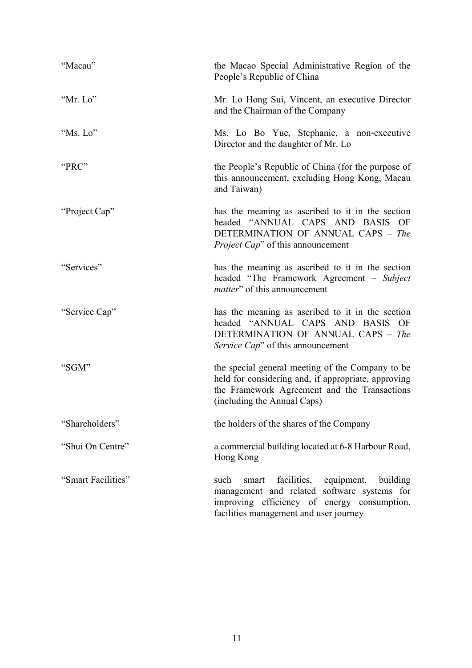| "Macau"            | the Macao Special Administrative Region of the<br>People's Republic of China                                                                                                             |
|--------------------|------------------------------------------------------------------------------------------------------------------------------------------------------------------------------------------|
| "Mr. Lo"           | Mr. Lo Hong Sui, Vincent, an executive Director<br>and the Chairman of the Company                                                                                                       |
| "Ms. Lo"           | Ms. Lo Bo Yue, Stephanie, a non-executive<br>Director and the daughter of Mr. Lo                                                                                                         |
| "PRC"              | the People's Republic of China (for the purpose of<br>this announcement, excluding Hong Kong, Macau<br>and Taiwan)                                                                       |
| "Project Cap"      | has the meaning as ascribed to it in the section<br>headed "ANNUAL CAPS AND BASIS OF<br>DETERMINATION OF ANNUAL CAPS - The<br><i>Project Cap</i> " of this announcement                  |
| "Services"         | has the meaning as ascribed to it in the section<br>headed "The Framework Agreement – Subject<br><i>matter</i> " of this announcement                                                    |
| "Service Cap"      | has the meaning as ascribed to it in the section<br>headed "ANNUAL CAPS AND BASIS OF<br>DETERMINATION OF ANNUAL CAPS - The<br>Service Cap" of this announcement                          |
| "SGM"              | the special general meeting of the Company to be<br>held for considering and, if appropriate, approving<br>the Framework Agreement and the Transactions<br>(including the Annual Caps)   |
| "Shareholders"     | the holders of the shares of the Company                                                                                                                                                 |
| "Shui On Centre"   | a commercial building located at 6-8 Harbour Road,<br>Hong Kong                                                                                                                          |
| "Smart Facilities" | facilities, equipment, building<br>such<br>smart<br>management and related software systems for<br>improving efficiency of energy consumption,<br>facilities management and user journey |